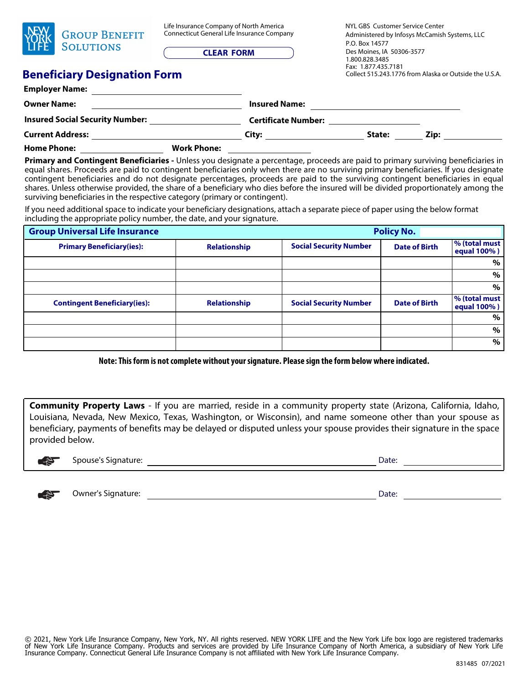| YORK | <b>GROUP BENEFIT</b><br><b>SOLUTIONS</b> |
|------|------------------------------------------|
|------|------------------------------------------|

Life Insurance Company of North America Connecticut General Life Insurance Company

**CLEAR FORM**

NYL GBS Customer Service Center Administered by Infosys McCamish Systems, LLC Fax: 1.877.435.7181 Collect 515.243.1776 from Alaska or Outside the U.S.A. P.O. Box 14577 Des Moines, IA 50306-3577 1.800.828.3485

## **Beneficiary Designation Form**

| <b>Employer Name:</b>                  |                    |                            |        |      |  |
|----------------------------------------|--------------------|----------------------------|--------|------|--|
| <b>Owner Name:</b>                     |                    | <b>Insured Name:</b>       |        |      |  |
| <b>Insured Social Security Number:</b> |                    | <b>Certificate Number:</b> |        |      |  |
| <b>Current Address:</b>                |                    | City:                      | State: | Zip: |  |
| <b>Home Phone:</b>                     | <b>Work Phone:</b> |                            |        |      |  |

**Primary and Contingent Beneficiaries -** Unless you designate a percentage, proceeds are paid to primary surviving beneficiaries in equal shares. Proceeds are paid to contingent beneficiaries only when there are no surviving primary beneficiaries. If you designate contingent beneficiaries and do not designate percentages, proceeds are paid to the surviving contingent beneficiaries in equal shares. Unless otherwise provided, the share of a beneficiary who dies before the insured will be divided proportionately among the surviving beneficiaries in the respective category (primary or contingent).

If you need additional space to indicate your beneficiary designations, attach a separate piece of paper using the below format including the appropriate policy number, the date, and your signature.

| <b>Group Universal Life Insurance</b> | <b>Policy No.</b>   |                               |                      |                              |
|---------------------------------------|---------------------|-------------------------------|----------------------|------------------------------|
| <b>Primary Beneficiary(ies):</b>      | <b>Relationship</b> | <b>Social Security Number</b> | <b>Date of Birth</b> | % (total must<br>equal 100%) |
|                                       |                     |                               |                      | %                            |
|                                       |                     |                               |                      | %                            |
|                                       |                     |                               |                      | $\%$                         |
| <b>Contingent Beneficiary(ies):</b>   | <b>Relationship</b> | <b>Social Security Number</b> | <b>Date of Birth</b> | % (total must<br>equal 100%) |
|                                       |                     |                               |                      | %                            |
|                                       |                     |                               |                      | %                            |
|                                       |                     |                               |                      | $\%$                         |

**Note: This form is not complete without your signature. Please sign the form below where indicated.**

**Community Property Laws** - If you are married, reside in a community property state (Arizona, California, Idaho, Louisiana, Nevada, New Mexico, Texas, Washington, or Wisconsin), and name someone other than your spouse as beneficiary, payments of benefits may be delayed or disputed unless your spouse provides their signature in the space provided below.



Spouse's Signature:  $\Box$ 



☛ Owner's Signature: Date: